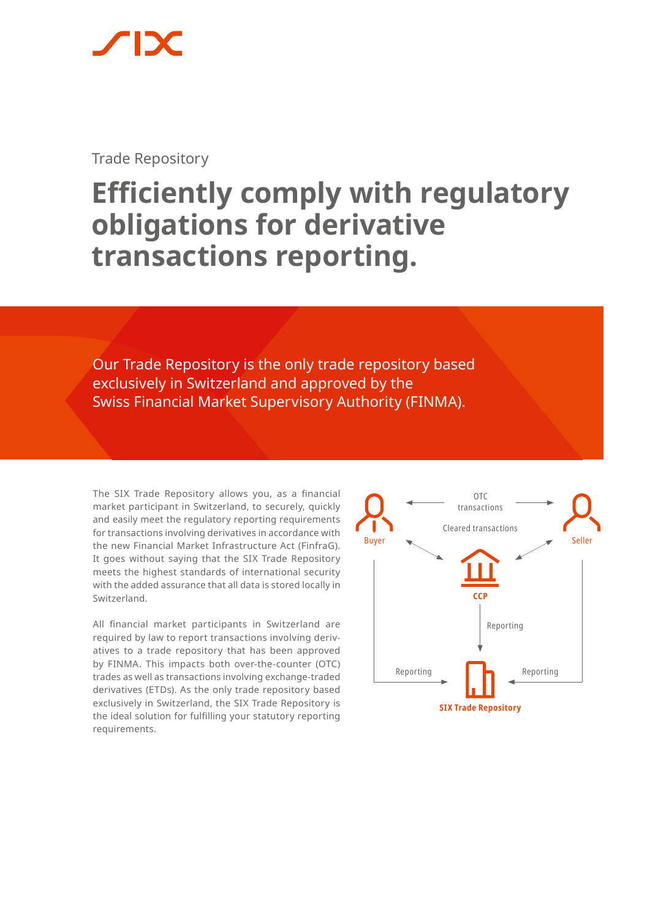Trade Repository

# **Efficiently comply with regulatory obligations for derivative transactions reporting.**

Our Trade Repository is the only trade repository based exclusively in Switzerland and approved by the Swiss Financial Market Supervisory Authority (FINMA).

The SIX Trade Repository allows you, as a financial market participant in Switzerland, to securely, quickly and easily meet the regulatory reporting requirements for transactions involving derivatives in accordance with the new Financial Market Infrastructure Act (FinfraG). It goes without saying that the SIX Trade Repository meets the highest standards of international security with the added assurance that all data is stored locally in Switzerland.

All financial market participants in Switzerland are required by law to report transactions involving derivatives to a trade repository that has been approved by FINMA. This impacts both over-the-counter (OTC) trades as well as transactions involving exchange-traded derivatives (ETDs). As the only trade repository based exclusively in Switzerland, the SIX Trade Repository is the ideal solution for fulfilling your statutory reporting requirements.